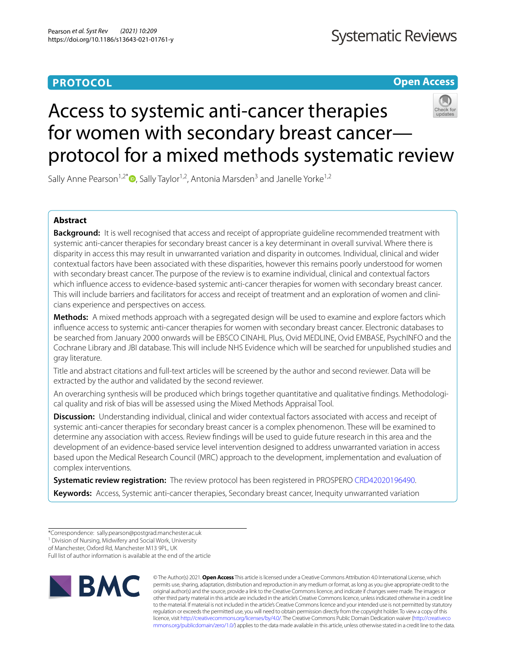## **PROTOCOL**

**Open Access**

# Access to systemic anti-cancer therapies for women with secondary breast cancer protocol for a mixed methods systematic review

Sally Anne Pearson<sup>1,2\*</sup>  $\bullet$ [,](http://orcid.org/0000-0002-7796-2617) Sally Taylor<sup>1,2</sup>, Antonia Marsden<sup>3</sup> and Janelle Yorke<sup>1,2</sup>

## **Abstract**

**Background:** It is well recognised that access and receipt of appropriate guideline recommended treatment with systemic anti-cancer therapies for secondary breast cancer is a key determinant in overall survival. Where there is disparity in access this may result in unwarranted variation and disparity in outcomes. Individual, clinical and wider contextual factors have been associated with these disparities, however this remains poorly understood for women with secondary breast cancer. The purpose of the review is to examine individual, clinical and contextual factors which infuence access to evidence-based systemic anti-cancer therapies for women with secondary breast cancer. This will include barriers and facilitators for access and receipt of treatment and an exploration of women and clinicians experience and perspectives on access.

**Methods:** A mixed methods approach with a segregated design will be used to examine and explore factors which infuence access to systemic anti-cancer therapies for women with secondary breast cancer. Electronic databases to be searched from January 2000 onwards will be EBSCO CINAHL Plus, Ovid MEDLINE, Ovid EMBASE, PsychINFO and the Cochrane Library and JBI database. This will include NHS Evidence which will be searched for unpublished studies and gray literature.

Title and abstract citations and full-text articles will be screened by the author and second reviewer. Data will be extracted by the author and validated by the second reviewer.

An overarching synthesis will be produced which brings together quantitative and qualitative fndings. Methodological quality and risk of bias will be assessed using the Mixed Methods Appraisal Tool.

**Discussion:** Understanding individual, clinical and wider contextual factors associated with access and receipt of systemic anti-cancer therapies for secondary breast cancer is a complex phenomenon. These will be examined to determine any association with access. Review fndings will be used to guide future research in this area and the development of an evidence-based service level intervention designed to address unwarranted variation in access based upon the Medical Research Council (MRC) approach to the development, implementation and evaluation of complex interventions.

**Systematic review registration:** The review protocol has been registered in PROSPERO [CRD42020196490.](https://www.crd.york.ac.uk/prospero/display_record.php?ID=CRD42020196490) **Keywords:** Access, Systemic anti-cancer therapies, Secondary breast cancer, Inequity unwarranted variation

Full list of author information is available at the end of the article



© The Author(s) 2021. **Open Access** This article is licensed under a Creative Commons Attribution 4.0 International License, which permits use, sharing, adaptation, distribution and reproduction in any medium or format, as long as you give appropriate credit to the original author(s) and the source, provide a link to the Creative Commons licence, and indicate if changes were made. The images or other third party material in this article are included in the article's Creative Commons licence, unless indicated otherwise in a credit line to the material. If material is not included in the article's Creative Commons licence and your intended use is not permitted by statutory regulation or exceeds the permitted use, you will need to obtain permission directly from the copyright holder. To view a copy of this licence, visit [http://creativecommons.org/licenses/by/4.0/.](http://creativecommons.org/licenses/by/4.0/) The Creative Commons Public Domain Dedication waiver ([http://creativeco](http://creativecommons.org/publicdomain/zero/1.0/) [mmons.org/publicdomain/zero/1.0/](http://creativecommons.org/publicdomain/zero/1.0/)) applies to the data made available in this article, unless otherwise stated in a credit line to the data.

<sup>\*</sup>Correspondence: sally.pearson@postgrad.manchester.ac.uk

<sup>&</sup>lt;sup>1</sup> Division of Nursing, Midwifery and Social Work, University

of Manchester, Oxford Rd, Manchester M13 9PL, UK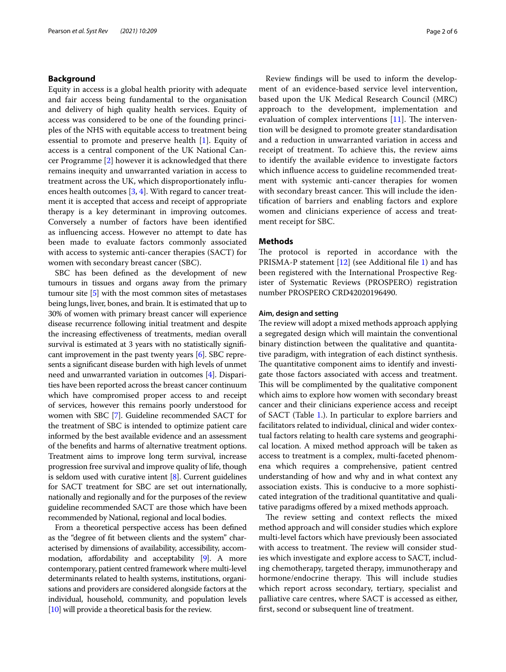## **Background**

Equity in access is a global health priority with adequate and fair access being fundamental to the organisation and delivery of high quality health services. Equity of access was considered to be one of the founding principles of the NHS with equitable access to treatment being essential to promote and preserve health [[1\]](#page-5-0). Equity of access is a central component of the UK National Cancer Programme [\[2](#page-5-1)] however it is acknowledged that there remains inequity and unwarranted variation in access to treatment across the UK, which disproportionately infuences health outcomes [[3](#page-5-2), [4\]](#page-5-3). With regard to cancer treatment it is accepted that access and receipt of appropriate therapy is a key determinant in improving outcomes. Conversely a number of factors have been identifed as infuencing access. However no attempt to date has been made to evaluate factors commonly associated with access to systemic anti-cancer therapies (SACT) for women with secondary breast cancer (SBC).

SBC has been defned as the development of new tumours in tissues and organs away from the primary tumour site [\[5\]](#page-5-4) with the most common sites of metastases being lungs, liver, bones, and brain. It is estimated that up to 30% of women with primary breast cancer will experience disease recurrence following initial treatment and despite the increasing efectiveness of treatments, median overall survival is estimated at 3 years with no statistically signifcant improvement in the past twenty years [\[6](#page-5-5)]. SBC represents a signifcant disease burden with high levels of unmet need and unwarranted variation in outcomes [\[4\]](#page-5-3). Disparities have been reported across the breast cancer continuum which have compromised proper access to and receipt of services, however this remains poorly understood for women with SBC [\[7](#page-5-6)]. Guideline recommended SACT for the treatment of SBC is intended to optimize patient care informed by the best available evidence and an assessment of the benefts and harms of alternative treatment options. Treatment aims to improve long term survival, increase progression free survival and improve quality of life, though is seldom used with curative intent [\[8](#page-5-7)]. Current guidelines for SACT treatment for SBC are set out internationally, nationally and regionally and for the purposes of the review guideline recommended SACT are those which have been recommended by National, regional and local bodies.

From a theoretical perspective access has been defned as the "degree of ft between clients and the system" characterised by dimensions of availability, accessibility, accom-modation, affordability and acceptability [\[9\]](#page-5-8). A more contemporary, patient centred framework where multi-level determinants related to health systems, institutions, organisations and providers are considered alongside factors at the individual, household, community, and population levels [[10](#page-5-9)] will provide a theoretical basis for the review.

Review fndings will be used to inform the development of an evidence-based service level intervention, based upon the UK Medical Research Council (MRC) approach to the development, implementation and evaluation of complex interventions  $[11]$  $[11]$ . The intervention will be designed to promote greater standardisation and a reduction in unwarranted variation in access and receipt of treatment. To achieve this, the review aims to identify the available evidence to investigate factors which infuence access to guideline recommended treatment with systemic anti-cancer therapies for women with secondary breast cancer. This will include the identifcation of barriers and enabling factors and explore women and clinicians experience of access and treatment receipt for SBC.

## **Methods**

The protocol is reported in accordance with the PRISMA-P statement [[12](#page-5-11)] (see Additional fle [1\)](#page-4-0) and has been registered with the International Prospective Register of Systematic Reviews (PROSPERO) registration number PROSPERO CRD42020196490.

## **Aim, design and setting**

The review will adopt a mixed methods approach applying a segregated design which will maintain the conventional binary distinction between the qualitative and quantitative paradigm, with integration of each distinct synthesis. The quantitative component aims to identify and investigate those factors associated with access and treatment. This will be complimented by the qualitative component which aims to explore how women with secondary breast cancer and their clinicians experience access and receipt of SACT (Table [1.](#page-2-0)). In particular to explore barriers and facilitators related to individual, clinical and wider contextual factors relating to health care systems and geographical location. A mixed method approach will be taken as access to treatment is a complex, multi-faceted phenomena which requires a comprehensive, patient centred understanding of how and why and in what context any association exists. This is conducive to a more sophisticated integration of the traditional quantitative and qualitative paradigms ofered by a mixed methods approach.

The review setting and context reflects the mixed method approach and will consider studies which explore multi-level factors which have previously been associated with access to treatment. The review will consider studies which investigate and explore access to SACT, including chemotherapy, targeted therapy, immunotherapy and hormone/endocrine therapy. This will include studies which report across secondary, tertiary, specialist and palliative care centres, where SACT is accessed as either, frst, second or subsequent line of treatment.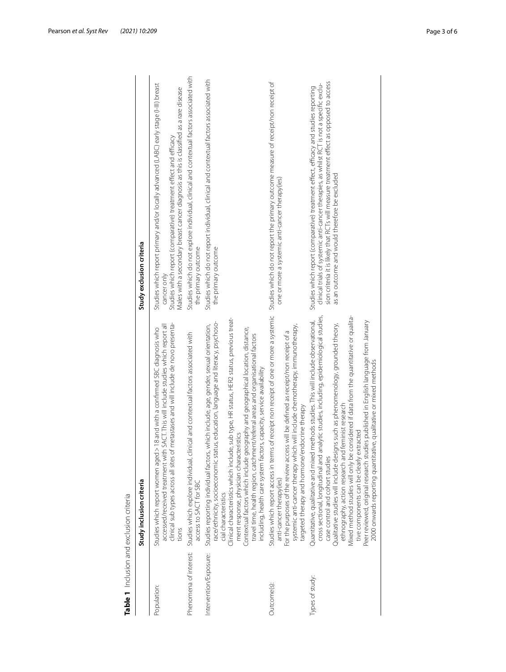<span id="page-2-0"></span>

| $\overline{ }$          |
|-------------------------|
|                         |
| Į                       |
|                         |
|                         |
|                         |
|                         |
| こうせんり 20.コーリンク ひとり<br>j |
|                         |
| $\frac{1}{2}$           |
|                         |
| î                       |
| $\overline{ }$          |
|                         |
| -<br><<br><             |
|                         |
|                         |
|                         |
|                         |
|                         |
|                         |
|                         |
|                         |

| Table 1 Inclusion and exclusion criteria |                                                                                                                                                                                                                                                                                                                                                                                                                                                                                                                                                                                                                                                                       |                                                                                                                                                                                                                                                                                                                              |
|------------------------------------------|-----------------------------------------------------------------------------------------------------------------------------------------------------------------------------------------------------------------------------------------------------------------------------------------------------------------------------------------------------------------------------------------------------------------------------------------------------------------------------------------------------------------------------------------------------------------------------------------------------------------------------------------------------------------------|------------------------------------------------------------------------------------------------------------------------------------------------------------------------------------------------------------------------------------------------------------------------------------------------------------------------------|
|                                          | Study inclusion criteria                                                                                                                                                                                                                                                                                                                                                                                                                                                                                                                                                                                                                                              | Study exclusion criteria                                                                                                                                                                                                                                                                                                     |
| Population:                              | clinical sub types across all sites of metastases and will include de novo presenta-<br>accessed/received treatment with SACT. This will include studies which report all<br>Studies which report women aged > 18 and with a confirmed SBC diagnosis who<br>tions                                                                                                                                                                                                                                                                                                                                                                                                     | Studies which report primary and/or locally advanced (LABC) early stage (I-III) breast<br>Males with a secondary breast cancer diagnosis as this is classified as a rare disease<br>Studies which report (comparative) treatment effect and efficacy<br>cancer only                                                          |
| Phenomena of interest:                   | Studies which explore individual, clinical and contextual factors associated with<br>access to SACT for SBC                                                                                                                                                                                                                                                                                                                                                                                                                                                                                                                                                           | Studies which do not explore individual, clinical and contextual factors associated with<br>the primary outcome                                                                                                                                                                                                              |
| Intervention/Exposure:                   | de, sub type, HR status, HER2 status, previous treat-<br>race/ethnicity, socioeconomic status, education, language and literacy, psychoso-<br>Studies reporting individual factors, which include, age, gender, sexual orientation,<br>Contextual factors which include geography and geographical location, distance,<br>travel time, health region, catchment/referral areas and organisational factors<br>including, health care system factors, capacity, service availability<br>ment response, physician characteristics<br>Clinical characteristics which includ<br>cial characteristics                                                                       | Studies which do not report individual, clinical and contextual factors associated with<br>the primary outcome                                                                                                                                                                                                               |
| Outcome(s):                              | Studies which report access in terms of receipt non receipt of one or more a systemic<br>systemic anti-cancer therapy which will include chemotherapy, immunotherapy,<br>For the purposes of the review access will be defined as receipt/non receipt of a<br>targeted therapy and hormone/endocrine therapy<br>anti-cancer therapy(ies)                                                                                                                                                                                                                                                                                                                              | Studies which do not report the primary outcome measure of receipt/non receipt of<br>one or more a systemic anti-cancer therapy(ies)                                                                                                                                                                                         |
| Types of study:                          | considered if data from the quantitative or qualita-<br>cross sectional, longitudinal and analytic studies, including, epidemiological studies,<br>methods studies. This will include observational,<br>Peer reviewed, original research studies published in English language from January<br>Qualitative studies will include designs such as phenomenology, grounded theory,<br>2000 onwards reporting quantitative, qualitative or mixed methods<br>ethnography, action research and feminist research<br>tive components can be clearly extracted<br>Quantitative, qualitative and mixed<br>Mixed method studies will only be<br>case control and cohort studies | sion criteria it is likely that RCTs will measure treatment effect as opposed to access<br>clinical trials of systemic anti-cancer therapies, as whilst RCT is not a specific exclu-<br>Studies which report (comparative) treatment effect, efficacy and studies reporting<br>as an outcome and would therefore be excluded |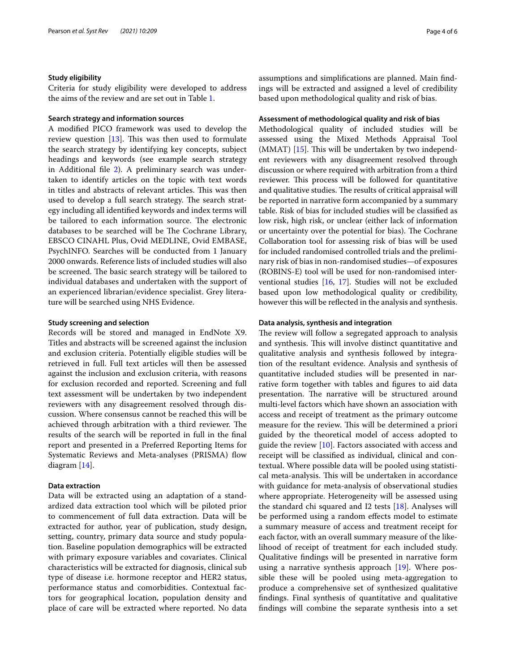## **Study eligibility**

Criteria for study eligibility were developed to address the aims of the review and are set out in Table [1.](#page-2-0)

## **Search strategy and information sources**

A modifed PICO framework was used to develop the review question  $[13]$  $[13]$ . This was then used to formulate the search strategy by identifying key concepts, subject headings and keywords (see example search strategy in Additional fle [2\)](#page-4-1). A preliminary search was undertaken to identify articles on the topic with text words in titles and abstracts of relevant articles. This was then used to develop a full search strategy. The search strategy including all identifed keywords and index terms will be tailored to each information source. The electronic databases to be searched will be The Cochrane Library, EBSCO CINAHL Plus, Ovid MEDLINE, Ovid EMBASE, PsychINFO. Searches will be conducted from 1 January 2000 onwards. Reference lists of included studies will also be screened. The basic search strategy will be tailored to individual databases and undertaken with the support of an experienced librarian/evidence specialist. Grey literature will be searched using NHS Evidence.

## **Study screening and selection**

Records will be stored and managed in EndNote X9. Titles and abstracts will be screened against the inclusion and exclusion criteria. Potentially eligible studies will be retrieved in full. Full text articles will then be assessed against the inclusion and exclusion criteria, with reasons for exclusion recorded and reported. Screening and full text assessment will be undertaken by two independent reviewers with any disagreement resolved through discussion. Where consensus cannot be reached this will be achieved through arbitration with a third reviewer. The results of the search will be reported in full in the fnal report and presented in a Preferred Reporting Items for Systematic Reviews and Meta-analyses (PRISMA) flow diagram [[14\]](#page-5-13).

## **Data extraction**

Data will be extracted using an adaptation of a standardized data extraction tool which will be piloted prior to commencement of full data extraction. Data will be extracted for author, year of publication, study design, setting, country, primary data source and study population. Baseline population demographics will be extracted with primary exposure variables and covariates. Clinical characteristics will be extracted for diagnosis, clinical sub type of disease i.e. hormone receptor and HER2 status, performance status and comorbidities. Contextual factors for geographical location, population density and place of care will be extracted where reported. No data assumptions and simplifcations are planned. Main fndings will be extracted and assigned a level of credibility based upon methodological quality and risk of bias.

## **Assessment of methodological quality and risk of bias**

Methodological quality of included studies will be assessed using the Mixed Methods Appraisal Tool  $(MMAT)$  [\[15](#page-5-14)]. This will be undertaken by two independent reviewers with any disagreement resolved through discussion or where required with arbitration from a third reviewer. This process will be followed for quantitative and qualitative studies. The results of critical appraisal will be reported in narrative form accompanied by a summary table. Risk of bias for included studies will be classifed as low risk, high risk, or unclear (either lack of information or uncertainty over the potential for bias). The Cochrane Collaboration tool for assessing risk of bias will be used for included randomised controlled trials and the preliminary risk of bias in non-randomised studies—of exposures (ROBINS-E) tool will be used for non-randomised interventional studies [\[16,](#page-5-15) [17](#page-5-16)]. Studies will not be excluded based upon low methodological quality or credibility, however this will be refected in the analysis and synthesis.

## **Data analysis, synthesis and integration**

The review will follow a segregated approach to analysis and synthesis. This will involve distinct quantitative and qualitative analysis and synthesis followed by integration of the resultant evidence. Analysis and synthesis of quantitative included studies will be presented in narrative form together with tables and fgures to aid data presentation. The narrative will be structured around multi-level factors which have shown an association with access and receipt of treatment as the primary outcome measure for the review. This will be determined a priori guided by the theoretical model of access adopted to guide the review [[10\]](#page-5-9). Factors associated with access and receipt will be classifed as individual, clinical and contextual. Where possible data will be pooled using statistical meta-analysis. This will be undertaken in accordance with guidance for meta-analysis of observational studies where appropriate. Heterogeneity will be assessed using the standard chi squared and  $12$  tests  $[18]$ . Analyses will be performed using a random efects model to estimate a summary measure of access and treatment receipt for each factor, with an overall summary measure of the likelihood of receipt of treatment for each included study. Qualitative fndings will be presented in narrative form using a narrative synthesis approach [\[19](#page-5-18)]. Where possible these will be pooled using meta-aggregation to produce a comprehensive set of synthesized qualitative fndings. Final synthesis of quantitative and qualitative fndings will combine the separate synthesis into a set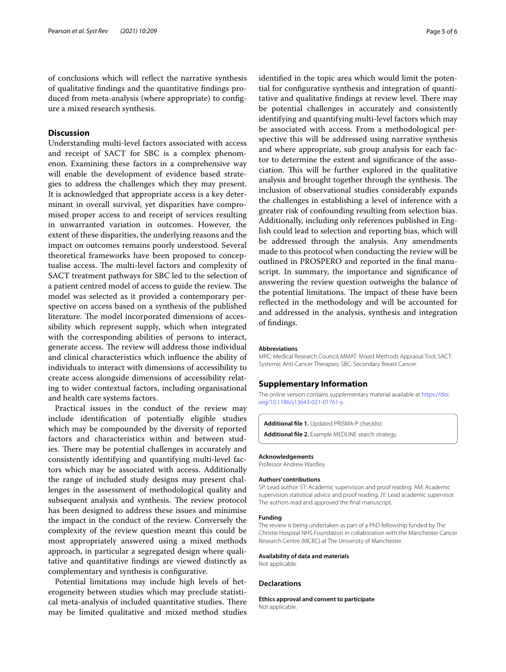of conclusions which will refect the narrative synthesis of qualitative fndings and the quantitative fndings produced from meta-analysis (where appropriate) to confgure a mixed research synthesis.

## **Discussion**

Understanding multi-level factors associated with access and receipt of SACT for SBC is a complex phenomenon. Examining these factors in a comprehensive way will enable the development of evidence based strategies to address the challenges which they may present. It is acknowledged that appropriate access is a key determinant in overall survival, yet disparities have compromised proper access to and receipt of services resulting in unwarranted variation in outcomes. However, the extent of these disparities, the underlying reasons and the impact on outcomes remains poorly understood. Several theoretical frameworks have been proposed to conceptualise access. The multi-level factors and complexity of SACT treatment pathways for SBC led to the selection of a patient centred model of access to guide the review. The model was selected as it provided a contemporary perspective on access based on a synthesis of the published literature. The model incorporated dimensions of accessibility which represent supply, which when integrated with the corresponding abilities of persons to interact, generate access. The review will address those individual and clinical characteristics which infuence the ability of individuals to interact with dimensions of accessibility to create access alongside dimensions of accessibility relating to wider contextual factors, including organisational and health care systems factors.

Practical issues in the conduct of the review may include identifcation of potentially eligible studies which may be compounded by the diversity of reported factors and characteristics within and between studies. There may be potential challenges in accurately and consistently identifying and quantifying multi-level factors which may be associated with access. Additionally the range of included study designs may present challenges in the assessment of methodological quality and subsequent analysis and synthesis. The review protocol has been designed to address these issues and minimise the impact in the conduct of the review. Conversely the complexity of the review question meant this could be most appropriately answered using a mixed methods approach, in particular a segregated design where qualitative and quantitative fndings are viewed distinctly as complementary and synthesis is confgurative.

Potential limitations may include high levels of heterogeneity between studies which may preclude statistical meta-analysis of included quantitative studies. There may be limited qualitative and mixed method studies identifed in the topic area which would limit the potential for confgurative synthesis and integration of quantitative and qualitative findings at review level. There may be potential challenges in accurately and consistently identifying and quantifying multi-level factors which may be associated with access. From a methodological perspective this will be addressed using narrative synthesis and where appropriate, sub group analysis for each factor to determine the extent and signifcance of the association. This will be further explored in the qualitative analysis and brought together through the synthesis. The inclusion of observational studies considerably expands the challenges in establishing a level of inference with a greater risk of confounding resulting from selection bias. Additionally, including only references published in English could lead to selection and reporting bias, which will be addressed through the analysis. Any amendments made to this protocol when conducting the review will be outlined in PROSPERO and reported in the fnal manuscript. In summary, the importance and signifcance of answering the review question outweighs the balance of the potential limitations. The impact of these have been refected in the methodology and will be accounted for and addressed in the analysis, synthesis and integration of fndings.

#### **Abbreviations**

MRC: Medical Research Council; MMAT: Mixed Methods Appraisal Tool; SACT: Systemic Anti-Cancer Therapies; SBC: Secondary Breast Cancer.

## **Supplementary Information**

The online version contains supplementary material available at [https://doi.](https://doi.org/10.1186/s13643-021-01761-y) [org/10.1186/s13643-021-01761-y.](https://doi.org/10.1186/s13643-021-01761-y)

<span id="page-4-1"></span><span id="page-4-0"></span>**Additional fle 1.** Updated PRISMA-P checklist.

**Additional fle 2.** Example MEDLINE search strategy.

#### **Acknowledgements**

Professor Andrew Wardley.

#### **Authors' contributions**

SP: Lead author. ST: Academic supervision and proof reading. AM: Academic supervision statistical advice and proof reading. JY: Lead academic supervisor. The authors read and approved the fnal manuscript.

#### **Funding**

The review is being undertaken as part of a PhD fellowship funded by The Christie Hospital NHS Foundation in collaboration with the Manchester Cancer Research Centre (MCRC) at The University of Manchester.

#### **Availability of data and materials**

Not applicable.

## **Declarations**

**Ethics approval and consent to participate** Not applicable.